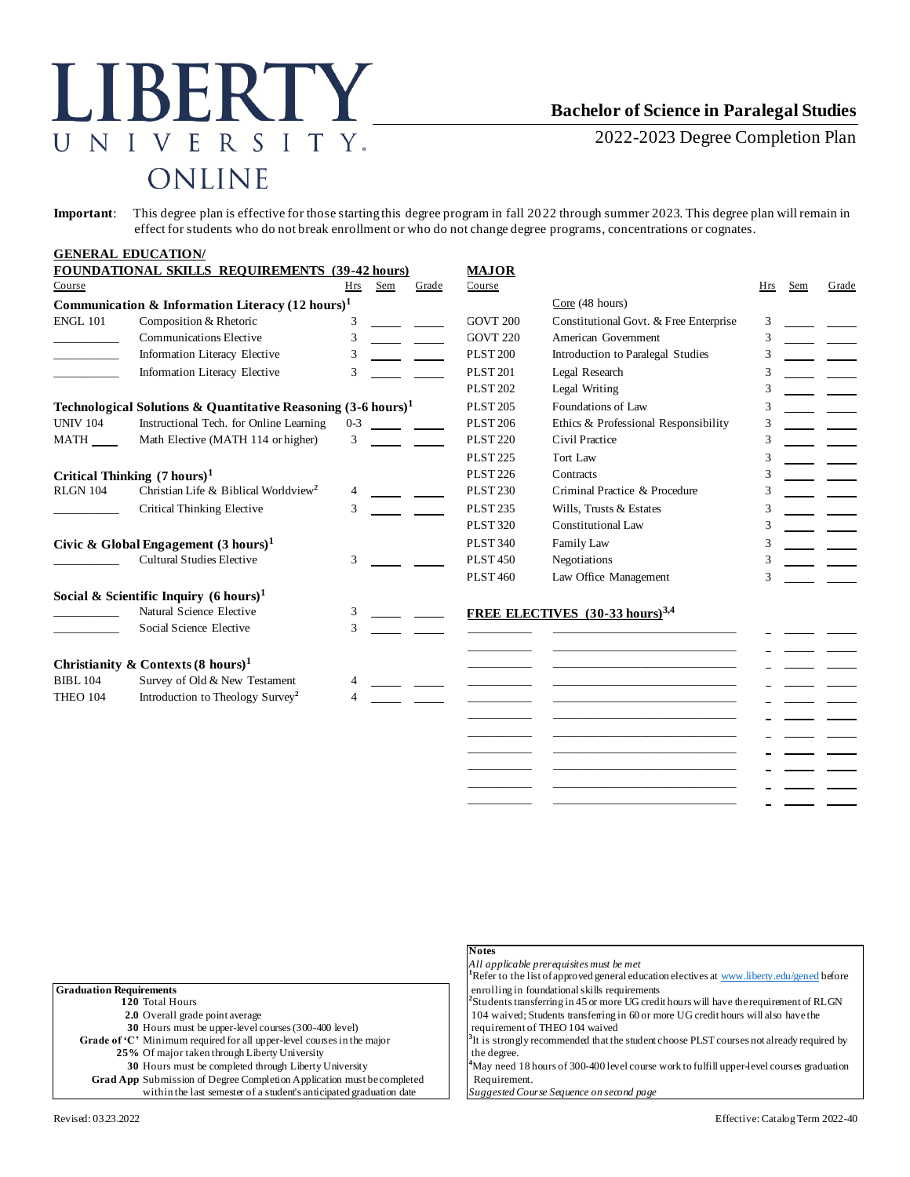## LIBERTY UNIVERSITY. ONLINE

## **Bachelor of Science in Paralegal Studies**

2022-2023 Degree Completion Plan

**Important**: This degree plan is effective for those starting this degree program in fall 2022 through summer 2023. This degree plan will remain in effect for students who do not break enrollment or who do not change degree programs, concentrations or cognates.

|                                                                          | <b>GENERAL EDUCATION/</b>                                   |         |              |                     |                                             |     |     |       |
|--------------------------------------------------------------------------|-------------------------------------------------------------|---------|--------------|---------------------|---------------------------------------------|-----|-----|-------|
|                                                                          | <b>FOUNDATIONAL SKILLS REQUIREMENTS (39-42 hours)</b>       |         |              | <b>MAJOR</b>        |                                             |     |     |       |
| Course                                                                   |                                                             | Hrs     | Sem<br>Grade | Course              |                                             | Hrs | Sem | Grade |
|                                                                          | Communication & Information Literacy $(12 \text{ hours})^1$ |         |              |                     | Core (48 hours)                             |     |     |       |
| <b>ENGL 101</b>                                                          | Composition & Rhetoric                                      | 3       |              | GOVT <sub>200</sub> | Constitutional Govt. & Free Enterprise      | 3   |     |       |
|                                                                          | <b>Communications Elective</b>                              | 3       |              | <b>GOVT 220</b>     | American Government                         | 3   |     |       |
|                                                                          | Information Literacy Elective                               | 3       |              | <b>PLST 200</b>     | Introduction to Paralegal Studies           |     |     |       |
|                                                                          | Information Literacy Elective                               | 3       |              | <b>PLST 201</b>     | Legal Research                              | 3   |     |       |
|                                                                          |                                                             |         |              | <b>PLST 202</b>     | Legal Writing                               |     |     |       |
| Technological Solutions & Quantitative Reasoning $(3-6 \text{ hours})^1$ |                                                             |         |              | <b>PLST 205</b>     | Foundations of Law                          | 3   |     |       |
| <b>UNIV 104</b>                                                          | Instructional Tech. for Online Learning                     | $0 - 3$ |              | <b>PLST 206</b>     | Ethics & Professional Responsibility        | 3   |     |       |
| MATH                                                                     | Math Elective (MATH 114 or higher)                          | 3       |              | <b>PLST 220</b>     | Civil Practice                              | 3   |     |       |
|                                                                          |                                                             |         |              | <b>PLST 225</b>     | Tort Law                                    | 3   |     |       |
|                                                                          | Critical Thinking $(7 \text{ hours})^1$                     |         |              | <b>PLST 226</b>     | Contracts                                   | 3   |     |       |
| <b>RLGN 104</b>                                                          | Christian Life & Biblical Worldview <sup>2</sup>            | 4       |              | <b>PLST 230</b>     | Criminal Practice & Procedure               | 3   |     |       |
|                                                                          | <b>Critical Thinking Elective</b>                           | 3       |              | <b>PLST 235</b>     | Wills, Trusts & Estates                     | 3   |     |       |
|                                                                          |                                                             |         |              | <b>PLST 320</b>     | <b>Constitutional Law</b>                   | 3   |     |       |
| Civic & Global Engagement $(3 \text{ hours})^1$                          |                                                             |         |              | <b>PLST 340</b>     | Family Law                                  | 3   |     |       |
|                                                                          | <b>Cultural Studies Elective</b>                            | 3       |              | <b>PLST 450</b>     | Negotiations                                | 3   |     |       |
|                                                                          |                                                             |         |              | <b>PLST 460</b>     | Law Office Management                       | 3   |     |       |
|                                                                          | Social & Scientific Inquiry $(6 \text{ hours})^1$           |         |              |                     |                                             |     |     |       |
|                                                                          | Natural Science Elective                                    | 3       |              |                     | FREE ELECTIVES (30-33 hours) <sup>3,4</sup> |     |     |       |
|                                                                          | Social Science Elective                                     | 3       |              |                     |                                             |     |     |       |
|                                                                          | Christianity & Contexts $(8 \text{ hours})^1$               |         |              |                     |                                             |     |     |       |
| <b>BIBL 104</b>                                                          | Survey of Old & New Testament                               |         |              |                     |                                             |     |     |       |
| <b>THEO 104</b>                                                          | Introduction to Theology Survey <sup>2</sup>                |         |              |                     |                                             |     |     |       |
|                                                                          |                                                             |         |              |                     |                                             |     |     |       |
|                                                                          |                                                             |         |              |                     |                                             |     |     |       |
|                                                                          |                                                             |         |              |                     |                                             |     |     |       |
|                                                                          |                                                             |         |              |                     |                                             |     |     |       |

\_\_\_\_\_\_\_\_\_\_\_ \_\_\_\_\_\_\_\_\_\_\_\_\_\_\_\_\_\_\_\_\_\_\_\_\_\_\_\_\_\_\_ \_\_\_\_\_\_\_\_\_\_\_ \_\_\_\_\_\_\_\_\_\_\_\_\_\_\_\_\_\_\_\_\_\_\_\_\_\_\_\_\_\_\_ \_\_\_\_\_\_\_\_\_\_\_ \_\_\_\_\_\_\_\_\_\_\_\_\_\_\_\_\_\_\_\_\_\_\_\_\_\_\_\_\_\_\_

|                                                                        | <b>Notes</b>                                                                                           |
|------------------------------------------------------------------------|--------------------------------------------------------------------------------------------------------|
|                                                                        | All applicable prerequisites must be met                                                               |
|                                                                        | <sup>1</sup> Refer to the list of approved general education electives at www.liberty.edu/gened before |
| <b>Graduation Requirements</b>                                         | enrolling in foundational skills requirements                                                          |
| 120 Total Hours                                                        | ${}^{2}$ Students transferring in 45 or more UG credit hours will have the requirement of RLGN         |
| 2.0 Overall grade point average                                        | 104 waived; Students transferring in 60 or more UG credit hours will also have the                     |
| 30 Hours must be upper-level courses (300-400 level)                   | requirement of THEO 104 waived                                                                         |
| Grade of 'C' Minimum required for all upper-level courses in the major | $3$ It is strongly recommended that the student choose PLST courses not already required by            |
| 25% Of major taken through Liberty University                          | the degree.                                                                                            |
| 30 Hours must be completed through Liberty University                  | <sup>4</sup> May need 18 hours of 300-400 level course work to fulfill upper-level courses graduation  |
| Grad App Submission of Degree Completion Application must be completed | Requirement.                                                                                           |
| within the last semester of a student's anticipated graduation date    | Suggested Course Sequence on second page                                                               |